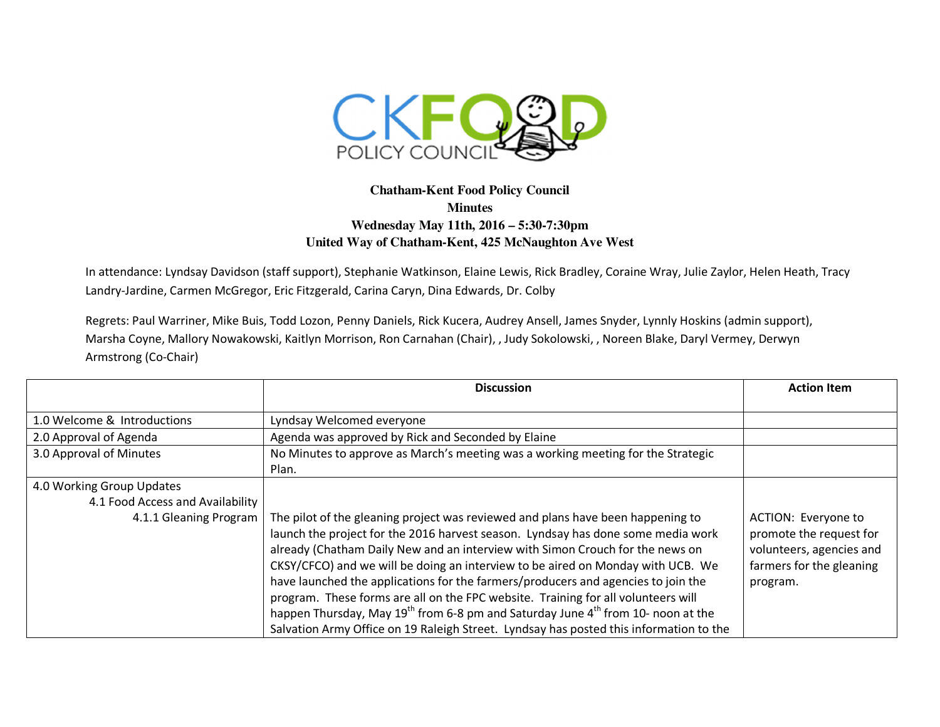

## **Chatham-Kent Food Policy Council Minutes Wednesday May 11th, 2016 – 5:30-7:30pm United Way of Chatham-Kent, 425 McNaughton Ave West**

In attendance: Lyndsay Davidson (staff support), Stephanie Watkinson, Elaine Lewis, Rick Bradley, Coraine Wray, Julie Zaylor, Helen Heath, Tracy Landry-Jardine, Carmen McGregor, Eric Fitzgerald, Carina Caryn, Dina Edwards, Dr. Colby

Regrets: Paul Warriner, Mike Buis, Todd Lozon, Penny Daniels, Rick Kucera, Audrey Ansell, James Snyder, Lynnly Hoskins (admin support), Marsha Coyne, Mallory Nowakowski, Kaitlyn Morrison, Ron Carnahan (Chair), , Judy Sokolowski, , Noreen Blake, Daryl Vermey, Derwyn Armstrong (Co-Chair)

|                                  | <b>Discussion</b>                                                                                        | <b>Action Item</b>       |
|----------------------------------|----------------------------------------------------------------------------------------------------------|--------------------------|
|                                  |                                                                                                          |                          |
| 1.0 Welcome & Introductions      | Lyndsay Welcomed everyone                                                                                |                          |
| 2.0 Approval of Agenda           | Agenda was approved by Rick and Seconded by Elaine                                                       |                          |
| 3.0 Approval of Minutes          | No Minutes to approve as March's meeting was a working meeting for the Strategic                         |                          |
|                                  | Plan.                                                                                                    |                          |
| 4.0 Working Group Updates        |                                                                                                          |                          |
| 4.1 Food Access and Availability |                                                                                                          |                          |
| 4.1.1 Gleaning Program           | The pilot of the gleaning project was reviewed and plans have been happening to                          | ACTION: Everyone to      |
|                                  | launch the project for the 2016 harvest season. Lyndsay has done some media work                         | promote the request for  |
|                                  | already (Chatham Daily New and an interview with Simon Crouch for the news on                            | volunteers, agencies and |
|                                  | CKSY/CFCO) and we will be doing an interview to be aired on Monday with UCB. We                          | farmers for the gleaning |
|                                  | have launched the applications for the farmers/producers and agencies to join the                        | program.                 |
|                                  | program. These forms are all on the FPC website. Training for all volunteers will                        |                          |
|                                  | happen Thursday, May 19 <sup>th</sup> from 6-8 pm and Saturday June 4 <sup>th</sup> from 10- noon at the |                          |
|                                  | Salvation Army Office on 19 Raleigh Street. Lyndsay has posted this information to the                   |                          |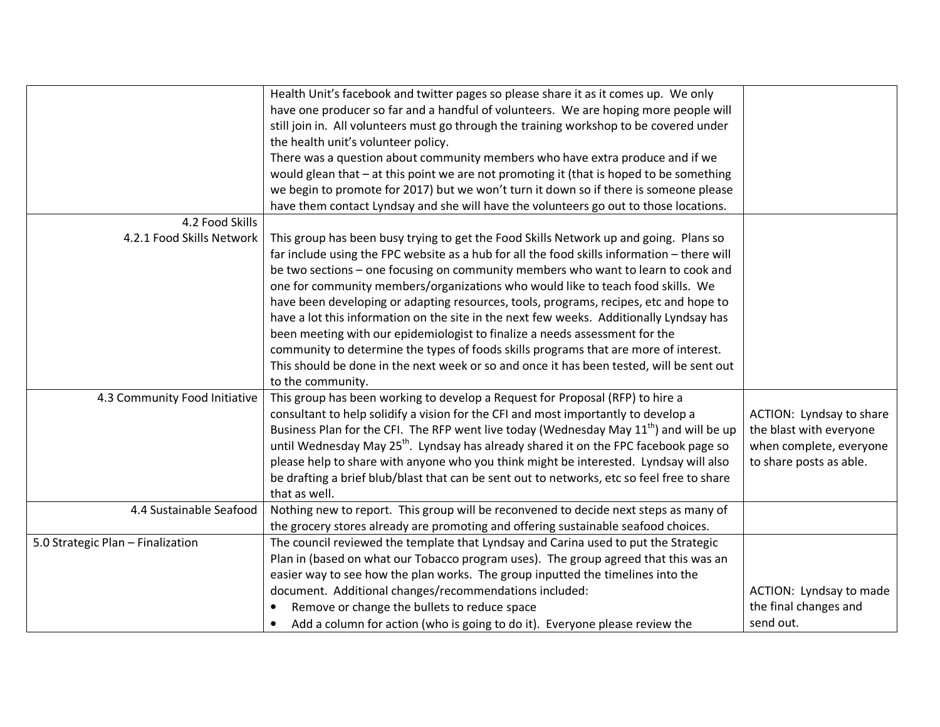|                                   | Health Unit's facebook and twitter pages so please share it as it comes up. We only              |                          |
|-----------------------------------|--------------------------------------------------------------------------------------------------|--------------------------|
|                                   | have one producer so far and a handful of volunteers. We are hoping more people will             |                          |
|                                   | still join in. All volunteers must go through the training workshop to be covered under          |                          |
|                                   | the health unit's volunteer policy.                                                              |                          |
|                                   | There was a question about community members who have extra produce and if we                    |                          |
|                                   | would glean that - at this point we are not promoting it (that is hoped to be something          |                          |
|                                   | we begin to promote for 2017) but we won't turn it down so if there is someone please            |                          |
|                                   | have them contact Lyndsay and she will have the volunteers go out to those locations.            |                          |
| 4.2 Food Skills                   |                                                                                                  |                          |
| 4.2.1 Food Skills Network         | This group has been busy trying to get the Food Skills Network up and going. Plans so            |                          |
|                                   | far include using the FPC website as a hub for all the food skills information - there will      |                          |
|                                   | be two sections - one focusing on community members who want to learn to cook and                |                          |
|                                   | one for community members/organizations who would like to teach food skills. We                  |                          |
|                                   | have been developing or adapting resources, tools, programs, recipes, etc and hope to            |                          |
|                                   | have a lot this information on the site in the next few weeks. Additionally Lyndsay has          |                          |
|                                   | been meeting with our epidemiologist to finalize a needs assessment for the                      |                          |
|                                   | community to determine the types of foods skills programs that are more of interest.             |                          |
|                                   | This should be done in the next week or so and once it has been tested, will be sent out         |                          |
|                                   | to the community.                                                                                |                          |
| 4.3 Community Food Initiative     | This group has been working to develop a Request for Proposal (RFP) to hire a                    |                          |
|                                   | consultant to help solidify a vision for the CFI and most importantly to develop a               | ACTION: Lyndsay to share |
|                                   | Business Plan for the CFI. The RFP went live today (Wednesday May $11th$ ) and will be up        | the blast with everyone  |
|                                   | until Wednesday May 25 <sup>th</sup> . Lyndsay has already shared it on the FPC facebook page so | when complete, everyone  |
|                                   | please help to share with anyone who you think might be interested. Lyndsay will also            | to share posts as able.  |
|                                   | be drafting a brief blub/blast that can be sent out to networks, etc so feel free to share       |                          |
|                                   | that as well.                                                                                    |                          |
| 4.4 Sustainable Seafood           | Nothing new to report. This group will be reconvened to decide next steps as many of             |                          |
|                                   | the grocery stores already are promoting and offering sustainable seafood choices.               |                          |
| 5.0 Strategic Plan - Finalization | The council reviewed the template that Lyndsay and Carina used to put the Strategic              |                          |
|                                   | Plan in (based on what our Tobacco program uses). The group agreed that this was an              |                          |
|                                   | easier way to see how the plan works. The group inputted the timelines into the                  |                          |
|                                   | document. Additional changes/recommendations included:                                           | ACTION: Lyndsay to made  |
|                                   | Remove or change the bullets to reduce space<br>$\bullet$                                        | the final changes and    |
|                                   | Add a column for action (who is going to do it). Everyone please review the<br>$\bullet$         | send out.                |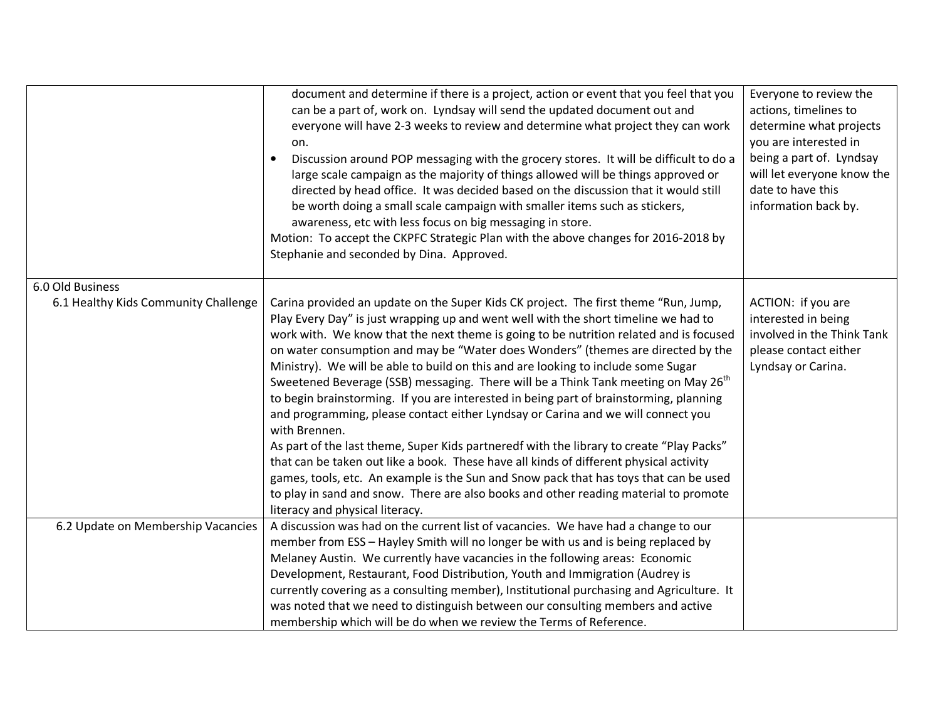|                                      | document and determine if there is a project, action or event that you feel that you<br>can be a part of, work on. Lyndsay will send the updated document out and<br>everyone will have 2-3 weeks to review and determine what project they can work<br>on.<br>Discussion around POP messaging with the grocery stores. It will be difficult to do a<br>large scale campaign as the majority of things allowed will be things approved or<br>directed by head office. It was decided based on the discussion that it would still<br>be worth doing a small scale campaign with smaller items such as stickers,<br>awareness, etc with less focus on big messaging in store.<br>Motion: To accept the CKPFC Strategic Plan with the above changes for 2016-2018 by<br>Stephanie and seconded by Dina. Approved.                                                                                                                                                                                                                                                                                                                                           | Everyone to review the<br>actions, timelines to<br>determine what projects<br>you are interested in<br>being a part of. Lyndsay<br>will let everyone know the<br>date to have this<br>information back by. |
|--------------------------------------|----------------------------------------------------------------------------------------------------------------------------------------------------------------------------------------------------------------------------------------------------------------------------------------------------------------------------------------------------------------------------------------------------------------------------------------------------------------------------------------------------------------------------------------------------------------------------------------------------------------------------------------------------------------------------------------------------------------------------------------------------------------------------------------------------------------------------------------------------------------------------------------------------------------------------------------------------------------------------------------------------------------------------------------------------------------------------------------------------------------------------------------------------------|------------------------------------------------------------------------------------------------------------------------------------------------------------------------------------------------------------|
| 6.0 Old Business                     |                                                                                                                                                                                                                                                                                                                                                                                                                                                                                                                                                                                                                                                                                                                                                                                                                                                                                                                                                                                                                                                                                                                                                          |                                                                                                                                                                                                            |
| 6.1 Healthy Kids Community Challenge | Carina provided an update on the Super Kids CK project. The first theme "Run, Jump,<br>Play Every Day" is just wrapping up and went well with the short timeline we had to<br>work with. We know that the next theme is going to be nutrition related and is focused<br>on water consumption and may be "Water does Wonders" (themes are directed by the<br>Ministry). We will be able to build on this and are looking to include some Sugar<br>Sweetened Beverage (SSB) messaging. There will be a Think Tank meeting on May 26 <sup>th</sup><br>to begin brainstorming. If you are interested in being part of brainstorming, planning<br>and programming, please contact either Lyndsay or Carina and we will connect you<br>with Brennen.<br>As part of the last theme, Super Kids partneredf with the library to create "Play Packs"<br>that can be taken out like a book. These have all kinds of different physical activity<br>games, tools, etc. An example is the Sun and Snow pack that has toys that can be used<br>to play in sand and snow. There are also books and other reading material to promote<br>literacy and physical literacy. | ACTION: if you are<br>interested in being<br>involved in the Think Tank<br>please contact either<br>Lyndsay or Carina.                                                                                     |
| 6.2 Update on Membership Vacancies   | A discussion was had on the current list of vacancies. We have had a change to our<br>member from ESS - Hayley Smith will no longer be with us and is being replaced by<br>Melaney Austin. We currently have vacancies in the following areas: Economic<br>Development, Restaurant, Food Distribution, Youth and Immigration (Audrey is<br>currently covering as a consulting member), Institutional purchasing and Agriculture. It<br>was noted that we need to distinguish between our consulting members and active<br>membership which will be do when we review the Terms of Reference.                                                                                                                                                                                                                                                                                                                                                                                                                                                                                                                                                             |                                                                                                                                                                                                            |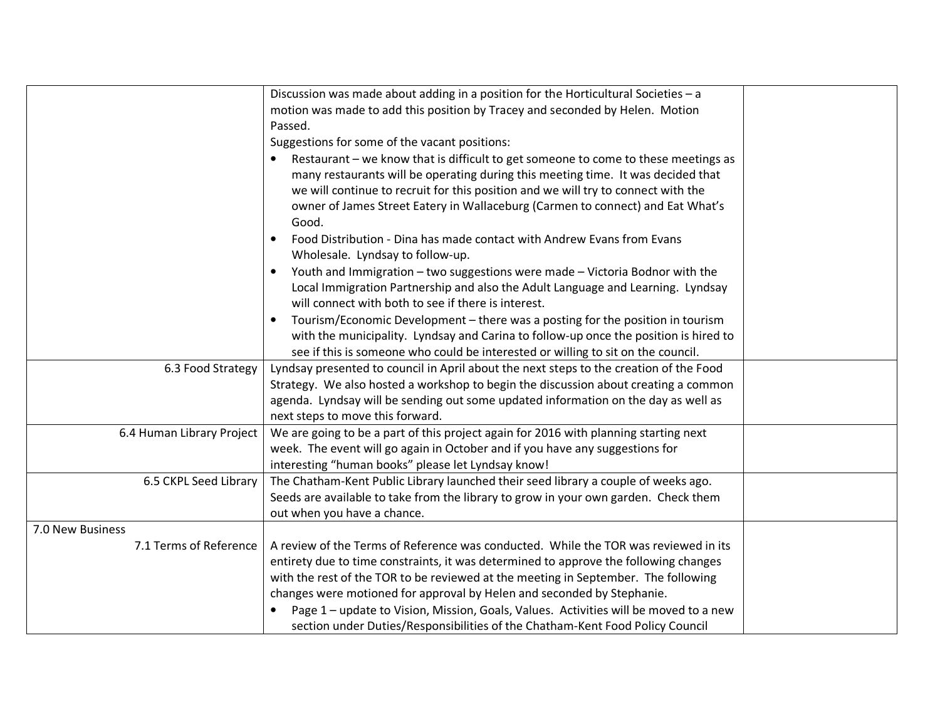|                           | Discussion was made about adding in a position for the Horticultural Societies - a        |  |
|---------------------------|-------------------------------------------------------------------------------------------|--|
|                           | motion was made to add this position by Tracey and seconded by Helen. Motion              |  |
|                           | Passed.                                                                                   |  |
|                           | Suggestions for some of the vacant positions:                                             |  |
|                           | Restaurant - we know that is difficult to get someone to come to these meetings as        |  |
|                           | many restaurants will be operating during this meeting time. It was decided that          |  |
|                           | we will continue to recruit for this position and we will try to connect with the         |  |
|                           | owner of James Street Eatery in Wallaceburg (Carmen to connect) and Eat What's            |  |
|                           | Good.                                                                                     |  |
|                           | Food Distribution - Dina has made contact with Andrew Evans from Evans                    |  |
|                           | Wholesale. Lyndsay to follow-up.                                                          |  |
|                           | Youth and Immigration - two suggestions were made - Victoria Bodnor with the<br>$\bullet$ |  |
|                           | Local Immigration Partnership and also the Adult Language and Learning. Lyndsay           |  |
|                           | will connect with both to see if there is interest.                                       |  |
|                           | Tourism/Economic Development - there was a posting for the position in tourism            |  |
|                           | with the municipality. Lyndsay and Carina to follow-up once the position is hired to      |  |
|                           | see if this is someone who could be interested or willing to sit on the council.          |  |
| 6.3 Food Strategy         | Lyndsay presented to council in April about the next steps to the creation of the Food    |  |
|                           | Strategy. We also hosted a workshop to begin the discussion about creating a common       |  |
|                           | agenda. Lyndsay will be sending out some updated information on the day as well as        |  |
|                           | next steps to move this forward.                                                          |  |
| 6.4 Human Library Project | We are going to be a part of this project again for 2016 with planning starting next      |  |
|                           | week. The event will go again in October and if you have any suggestions for              |  |
|                           | interesting "human books" please let Lyndsay know!                                        |  |
| 6.5 CKPL Seed Library     | The Chatham-Kent Public Library launched their seed library a couple of weeks ago.        |  |
|                           | Seeds are available to take from the library to grow in your own garden. Check them       |  |
|                           | out when you have a chance.                                                               |  |
| 7.0 New Business          |                                                                                           |  |
| 7.1 Terms of Reference    | A review of the Terms of Reference was conducted. While the TOR was reviewed in its       |  |
|                           | entirety due to time constraints, it was determined to approve the following changes      |  |
|                           | with the rest of the TOR to be reviewed at the meeting in September. The following        |  |
|                           | changes were motioned for approval by Helen and seconded by Stephanie.                    |  |
|                           | Page 1 - update to Vision, Mission, Goals, Values. Activities will be moved to a new      |  |
|                           | section under Duties/Responsibilities of the Chatham-Kent Food Policy Council             |  |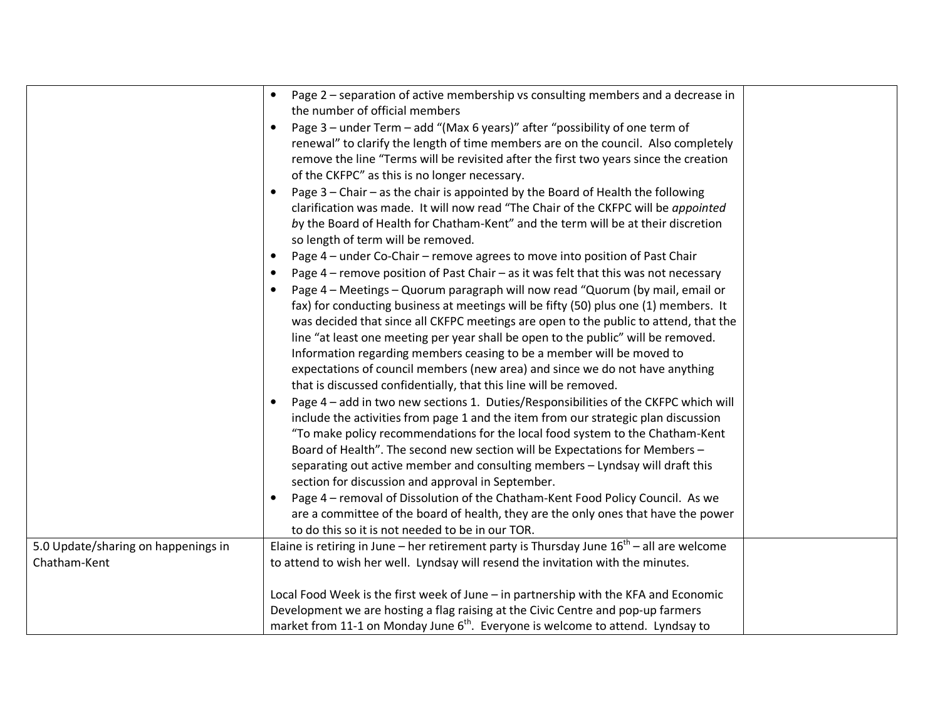|                                     | Page 2 - separation of active membership vs consulting members and a decrease in<br>$\bullet$<br>the number of official members |
|-------------------------------------|---------------------------------------------------------------------------------------------------------------------------------|
|                                     |                                                                                                                                 |
|                                     | Page 3 - under Term - add "(Max 6 years)" after "possibility of one term of                                                     |
|                                     | renewal" to clarify the length of time members are on the council. Also completely                                              |
|                                     | remove the line "Terms will be revisited after the first two years since the creation                                           |
|                                     | of the CKFPC" as this is no longer necessary.                                                                                   |
|                                     | Page 3 - Chair - as the chair is appointed by the Board of Health the following                                                 |
|                                     | clarification was made. It will now read "The Chair of the CKFPC will be appointed                                              |
|                                     | by the Board of Health for Chatham-Kent" and the term will be at their discretion                                               |
|                                     | so length of term will be removed.                                                                                              |
|                                     | Page 4 - under Co-Chair - remove agrees to move into position of Past Chair<br>$\bullet$                                        |
|                                     | Page 4 – remove position of Past Chair – as it was felt that this was not necessary                                             |
|                                     | Page 4 - Meetings - Quorum paragraph will now read "Quorum (by mail, email or                                                   |
|                                     | fax) for conducting business at meetings will be fifty (50) plus one (1) members. It                                            |
|                                     | was decided that since all CKFPC meetings are open to the public to attend, that the                                            |
|                                     | line "at least one meeting per year shall be open to the public" will be removed.                                               |
|                                     | Information regarding members ceasing to be a member will be moved to                                                           |
|                                     | expectations of council members (new area) and since we do not have anything                                                    |
|                                     | that is discussed confidentially, that this line will be removed.                                                               |
|                                     | Page 4 - add in two new sections 1. Duties/Responsibilities of the CKFPC which will                                             |
|                                     | include the activities from page 1 and the item from our strategic plan discussion                                              |
|                                     | "To make policy recommendations for the local food system to the Chatham-Kent                                                   |
|                                     | Board of Health". The second new section will be Expectations for Members -                                                     |
|                                     | separating out active member and consulting members - Lyndsay will draft this                                                   |
|                                     |                                                                                                                                 |
|                                     | section for discussion and approval in September.                                                                               |
|                                     | Page 4 - removal of Dissolution of the Chatham-Kent Food Policy Council. As we                                                  |
|                                     | are a committee of the board of health, they are the only ones that have the power                                              |
|                                     | to do this so it is not needed to be in our TOR.                                                                                |
| 5.0 Update/sharing on happenings in | Elaine is retiring in June – her retirement party is Thursday June $16^{th}$ – all are welcome                                  |
| Chatham-Kent                        | to attend to wish her well. Lyndsay will resend the invitation with the minutes.                                                |
|                                     |                                                                                                                                 |
|                                     | Local Food Week is the first week of June - in partnership with the KFA and Economic                                            |
|                                     | Development we are hosting a flag raising at the Civic Centre and pop-up farmers                                                |
|                                     | market from 11-1 on Monday June 6 <sup>th</sup> . Everyone is welcome to attend. Lyndsay to                                     |